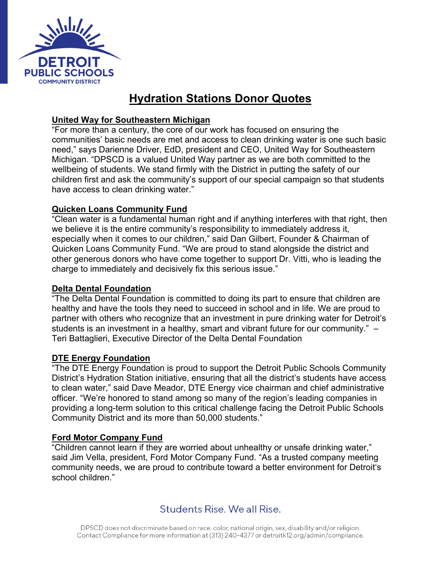

# **Hydration Stations Donor Quotes**

#### **United Way for Southeastern Michigan**

"For more than a century, the core of our work has focused on ensuring the communities' basic needs are met and access to clean drinking water is one such basic need," says Darienne Driver, EdD, president and CEO, United Way for Southeastern Michigan. "DPSCD is a valued United Way partner as we are both committed to the wellbeing of students. We stand firmly with the District in putting the safety of our children first and ask the community's support of our special campaign so that students have access to clean drinking water."

#### **Quicken Loans Community Fund**

"Clean water is a fundamental human right and if anything interferes with that right, then we believe it is the entire community's responsibility to immediately address it, especially when it comes to our children," said Dan Gilbert, Founder & Chairman of Quicken Loans Community Fund. "We are proud to stand alongside the district and other generous donors who have come together to support Dr. Vitti, who is leading the charge to immediately and decisively fix this serious issue."

#### **Delta Dental Foundation**

"The Delta Dental Foundation is committed to doing its part to ensure that children are healthy and have the tools they need to succeed in school and in life. We are proud to partner with others who recognize that an investment in pure drinking water for Detroit's students is an investment in a healthy, smart and vibrant future for our community." – Teri Battaglieri, Executive Director of the Delta Dental Foundation

#### **DTE Energy Foundation**

"The DTE Energy Foundation is proud to support the Detroit Public Schools Community District's Hydration Station initiative, ensuring that all the district's students have access to clean water," said Dave Meador, DTE Energy vice chairman and chief administrative officer. "We're honored to stand among so many of the region's leading companies in providing a long-term solution to this critical challenge facing the Detroit Public Schools Community District and its more than 50,000 students."

#### **Ford Motor Company Fund**

"Children cannot learn if they are worried about unhealthy or unsafe drinking water," said Jim Vella, president, Ford Motor Company Fund. "As a trusted company meeting community needs, we are proud to contribute toward a better environment for Detroit's school children."

### Students Rise, We all Rise.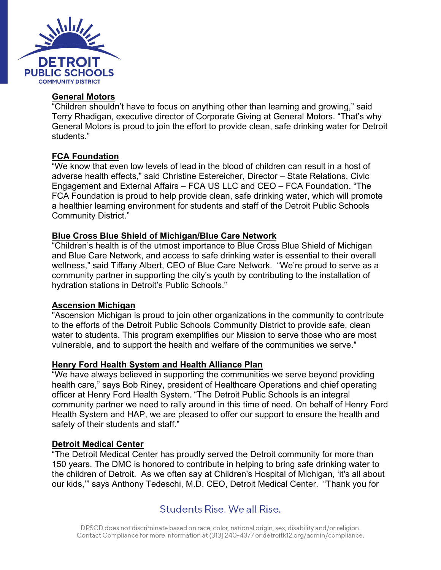

#### **General Motors**

"Children shouldn't have to focus on anything other than learning and growing," said Terry Rhadigan, executive director of Corporate Giving at General Motors. "That's why General Motors is proud to join the effort to provide clean, safe drinking water for Detroit students."

#### **FCA Foundation**

"We know that even low levels of lead in the blood of children can result in a host of adverse health effects," said Christine Estereicher, Director – State Relations, Civic Engagement and External Affairs – FCA US LLC and CEO – FCA Foundation. "The FCA Foundation is proud to help provide clean, safe drinking water, which will promote a healthier learning environment for students and staff of the Detroit Public Schools Community District."

#### **Blue Cross Blue Shield of Michigan/Blue Care Network**

"Children's health is of the utmost importance to Blue Cross Blue Shield of Michigan and Blue Care Network, and access to safe drinking water is essential to their overall wellness," said Tiffany Albert, CEO of Blue Care Network. "We're proud to serve as a community partner in supporting the city's youth by contributing to the installation of hydration stations in Detroit's Public Schools."

#### **Ascension Michigan**

"Ascension Michigan is proud to join other organizations in the community to contribute to the efforts of the Detroit Public Schools Community District to provide safe, clean water to students. This program exemplifies our Mission to serve those who are most vulnerable, and to support the health and welfare of the communities we serve."

#### **Henry Ford Health System and Health Alliance Plan**

"We have always believed in supporting the communities we serve beyond providing health care," says Bob Riney, president of Healthcare Operations and chief operating officer at Henry Ford Health System. "The Detroit Public Schools is an integral community partner we need to rally around in this time of need. On behalf of Henry Ford Health System and HAP, we are pleased to offer our support to ensure the health and safety of their students and staff."

#### **Detroit Medical Center**

"The Detroit Medical Center has proudly served the Detroit community for more than 150 years. The DMC is honored to contribute in helping to bring safe drinking water to the children of Detroit. As we often say at Children's Hospital of Michigan, 'it's all about our kids,'" says Anthony Tedeschi, M.D. CEO, Detroit Medical Center. "Thank you for

### Students Rise, We all Rise.